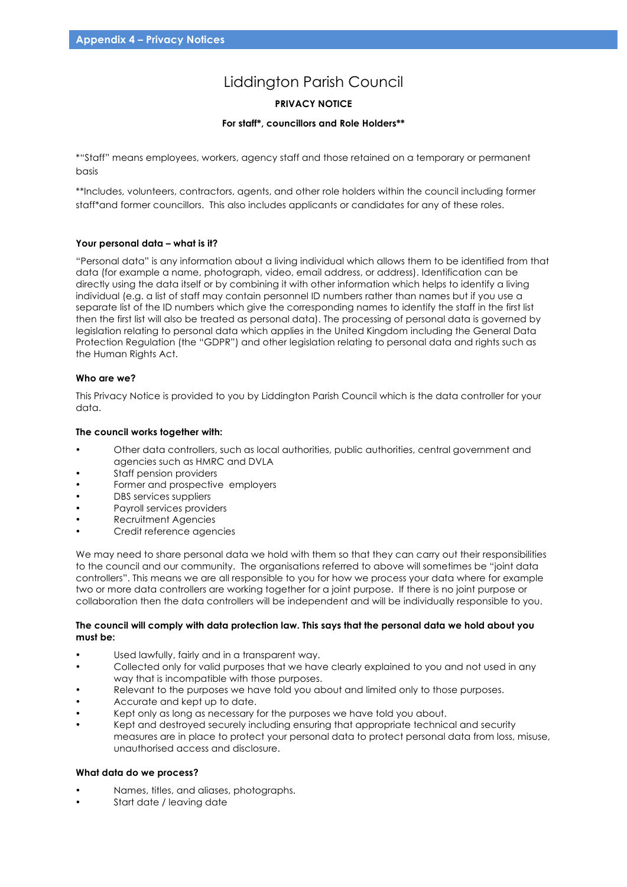# Liddington Parish Council

## **PRIVACY NOTICE**

## **For staff\*, councillors and Role Holders\*\***

\*"Staff" means employees, workers, agency staff and those retained on a temporary or permanent basis

\*\*Includes, volunteers, contractors, agents, and other role holders within the council including former staff\*and former councillors. This also includes applicants or candidates for any of these roles.

## **Your personal data – what is it?**

"Personal data" is any information about a living individual which allows them to be identified from that data (for example a name, photograph, video, email address, or address). Identification can be directly using the data itself or by combining it with other information which helps to identify a living individual (e.g. a list of staff may contain personnel ID numbers rather than names but if you use a separate list of the ID numbers which give the corresponding names to identify the staff in the first list then the first list will also be treated as personal data). The processing of personal data is governed by legislation relating to personal data which applies in the United Kingdom including the General Data Protection Regulation (the "GDPR") and other legislation relating to personal data and rights such as the Human Rights Act.

## **Who are we?**

This Privacy Notice is provided to you by Liddington Parish Council which is the data controller for your data.

### **The council works together with:**

- Other data controllers, such as local authorities, public authorities, central government and agencies such as HMRC and DVLA
- Staff pension providers
- Former and prospective employers
- DBS services suppliers
- Payroll services providers
- Recruitment Agencies
- Credit reference agencies

We may need to share personal data we hold with them so that they can carry out their responsibilities to the council and our community. The organisations referred to above will sometimes be "joint data controllers". This means we are all responsible to you for how we process your data where for example two or more data controllers are working together for a joint purpose. If there is no joint purpose or collaboration then the data controllers will be independent and will be individually responsible to you.

### **The council will comply with data protection law. This says that the personal data we hold about you must be:**

- Used lawfully, fairly and in a transparent way.
- Collected only for valid purposes that we have clearly explained to you and not used in any way that is incompatible with those purposes.
- Relevant to the purposes we have told you about and limited only to those purposes.
- Accurate and kept up to date.
- Kept only as long as necessary for the purposes we have told you about.
- Kept and destroyed securely including ensuring that appropriate technical and security measures are in place to protect your personal data to protect personal data from loss, misuse, unauthorised access and disclosure.

## **What data do we process?**

- Names, titles, and aliases, photographs.
- Start date / leaving date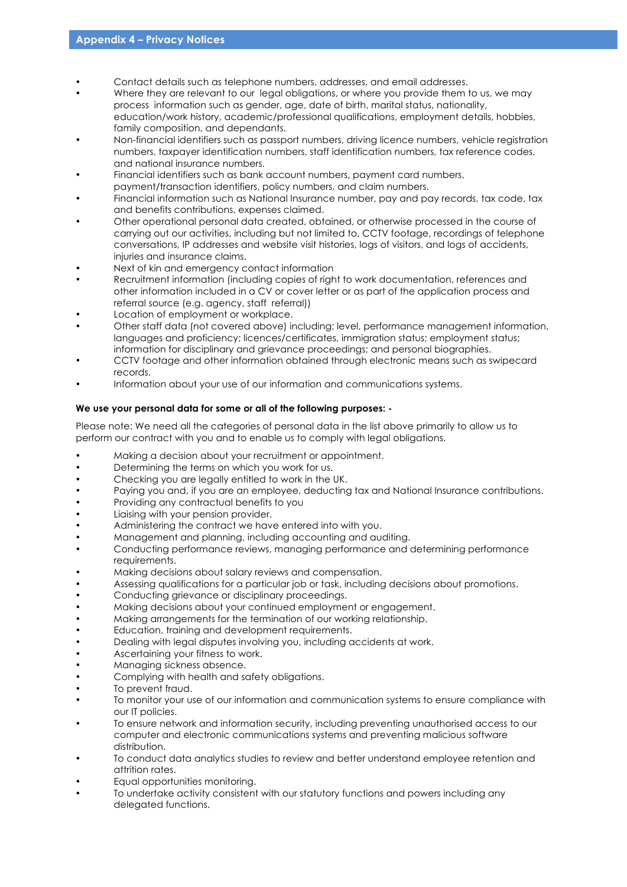- Contact details such as telephone numbers, addresses, and email addresses.
- Where they are relevant to our legal obligations, or where you provide them to us, we may process information such as gender, age, date of birth, marital status, nationality, education/work history, academic/professional qualifications, employment details, hobbies, family composition, and dependants.
- Non-financial identifiers such as passport numbers, driving licence numbers, vehicle registration numbers, taxpayer identification numbers, staff identification numbers, tax reference codes, and national insurance numbers.
- Financial identifiers such as bank account numbers, payment card numbers,
- payment/transaction identifiers, policy numbers, and claim numbers.
- Financial information such as National Insurance number, pay and pay records, tax code, tax and benefits contributions, expenses claimed.
- Other operational personal data created, obtained, or otherwise processed in the course of carrying out our activities, including but not limited to, CCTV footage, recordings of telephone conversations, IP addresses and website visit histories, logs of visitors, and logs of accidents, injuries and insurance claims.
- Next of kin and emergency contact information
- Recruitment information (including copies of right to work documentation, references and other information included in a CV or cover letter or as part of the application process and referral source (e.g. agency, staff referral))
- Location of employment or workplace.
- Other staff data (not covered above) including; level, performance management information, languages and proficiency; licences/certificates, immigration status; employment status; information for disciplinary and grievance proceedings; and personal biographies.
- CCTV footage and other information obtained through electronic means such as swipecard records.
- Information about your use of our information and communications systems.

## **We use your personal data for some or all of the following purposes: -**

Please note: We need all the categories of personal data in the list above primarily to allow us to perform our contract with you and to enable us to comply with legal obligations.

- Making a decision about your recruitment or appointment.
- Determining the terms on which you work for us.
- Checking you are legally entitled to work in the UK.
- Paying you and, if you are an employee, deducting tax and National Insurance contributions.
- Providing any contractual benefits to you
- Liaising with your pension provider.
- Administering the contract we have entered into with you.
- Management and planning, including accounting and auditing.
- Conducting performance reviews, managing performance and determining performance requirements.
- Making decisions about salary reviews and compensation.
- Assessing qualifications for a particular job or task, including decisions about promotions.
- Conducting grievance or disciplinary proceedings.
- Making decisions about your continued employment or engagement.
- Making arrangements for the termination of our working relationship.
- Education, training and development requirements.
- Dealing with legal disputes involving you, including accidents at work.
- Ascertaining your fitness to work.
- Managing sickness absence.
- Complying with health and safety obligations.
- To prevent fraud.
- To monitor your use of our information and communication systems to ensure compliance with our IT policies.
- To ensure network and information security, including preventing unauthorised access to our computer and electronic communications systems and preventing malicious software distribution.
- To conduct data analytics studies to review and better understand employee retention and attrition rates.
- Equal opportunities monitoring.
- To undertake activity consistent with our statutory functions and powers including any delegated functions.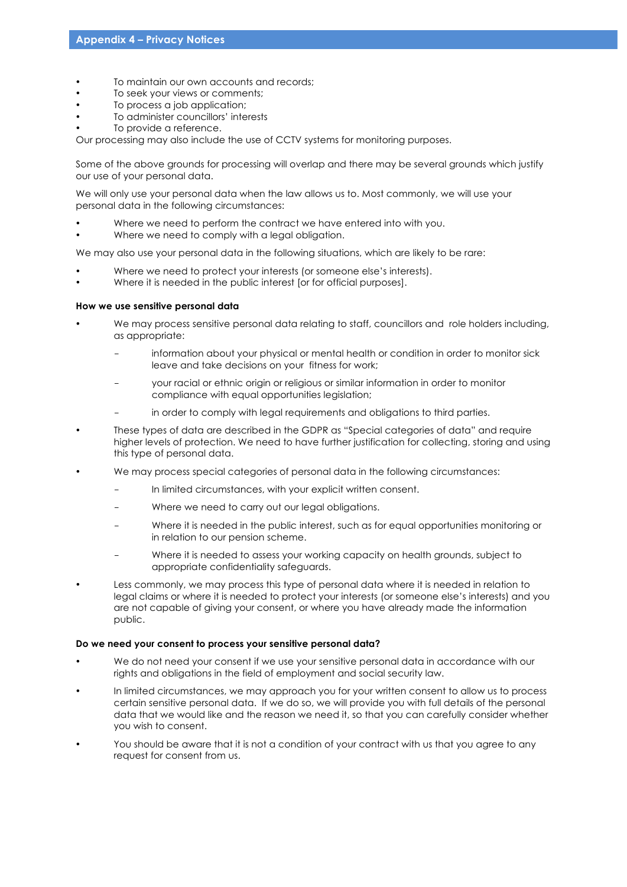- To maintain our own accounts and records;
- To seek your views or comments;
- To process a job application;
- To administer councillors' interests
- To provide a reference.

Our processing may also include the use of CCTV systems for monitoring purposes.

Some of the above grounds for processing will overlap and there may be several grounds which justify our use of your personal data.

We will only use your personal data when the law allows us to. Most commonly, we will use your personal data in the following circumstances:

- Where we need to perform the contract we have entered into with you.
- Where we need to comply with a legal obligation.

We may also use your personal data in the following situations, which are likely to be rare:

- Where we need to protect your interests (or someone else's interests).
- Where it is needed in the public interest [or for official purposes].

### **How we use sensitive personal data**

- We may process sensitive personal data relating to staff, councillors and role holders including, as appropriate:
	- information about your physical or mental health or condition in order to monitor sick leave and take decisions on your fitness for work;
	- your racial or ethnic origin or religious or similar information in order to monitor compliance with equal opportunities legislation;
	- in order to comply with legal requirements and obligations to third parties.
- These types of data are described in the GDPR as "Special categories of data" and require higher levels of protection. We need to have further justification for collecting, storing and using this type of personal data.
- We may process special categories of personal data in the following circumstances:
	- In limited circumstances, with your explicit written consent.
	- Where we need to carry out our legal obligations.
	- Where it is needed in the public interest, such as for equal opportunities monitoring or in relation to our pension scheme.
	- Where it is needed to assess your working capacity on health grounds, subject to appropriate confidentiality safeguards.
- Less commonly, we may process this type of personal data where it is needed in relation to legal claims or where it is needed to protect your interests (or someone else's interests) and you are not capable of giving your consent, or where you have already made the information public.

#### **Do we need your consent to process your sensitive personal data?**

- We do not need your consent if we use your sensitive personal data in accordance with our rights and obligations in the field of employment and social security law.
- In limited circumstances, we may approach you for your written consent to allow us to process certain sensitive personal data. If we do so, we will provide you with full details of the personal data that we would like and the reason we need it, so that you can carefully consider whether you wish to consent.
- You should be aware that it is not a condition of your contract with us that you agree to any request for consent from us.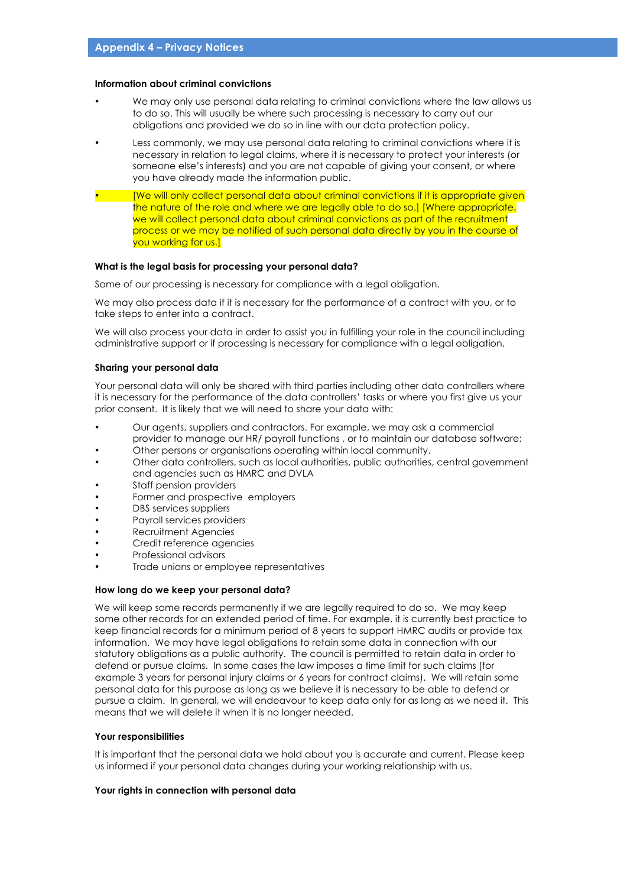#### **Information about criminal convictions**

- We may only use personal data relating to criminal convictions where the law allows us to do so. This will usually be where such processing is necessary to carry out our obligations and provided we do so in line with our data protection policy.
- Less commonly, we may use personal data relating to criminal convictions where it is necessary in relation to legal claims, where it is necessary to protect your interests (or someone else's interests) and you are not capable of giving your consent, or where you have already made the information public.
- [We will only collect personal data about criminal convictions if it is appropriate given the nature of the role and where we are legally able to do so.] [Where appropriate, we will collect personal data about criminal convictions as part of the recruitment process or we may be notified of such personal data directly by you in the course of you working for us.]

#### **What is the legal basis for processing your personal data?**

Some of our processing is necessary for compliance with a legal obligation.

We may also process data if it is necessary for the performance of a contract with you, or to take steps to enter into a contract.

We will also process your data in order to assist you in fulfilling your role in the council including administrative support or if processing is necessary for compliance with a legal obligation.

#### **Sharing your personal data**

Your personal data will only be shared with third parties including other data controllers where it is necessary for the performance of the data controllers' tasks or where you first give us your prior consent. It is likely that we will need to share your data with:

- Our agents, suppliers and contractors. For example, we may ask a commercial provider to manage our HR/ payroll functions , or to maintain our database software;
- Other persons or organisations operating within local community.
- Other data controllers, such as local authorities, public authorities, central government and agencies such as HMRC and DVLA
- Staff pension providers
- Former and prospective employers
- DBS services suppliers
- Payroll services providers
- Recruitment Agencies
- Credit reference agencies
- Professional advisors
- Trade unions or employee representatives

#### **How long do we keep your personal data?**

We will keep some records permanently if we are legally required to do so. We may keep some other records for an extended period of time. For example, it is currently best practice to keep financial records for a minimum period of 8 years to support HMRC audits or provide tax information. We may have legal obligations to retain some data in connection with our statutory obligations as a public authority. The council is permitted to retain data in order to defend or pursue claims. In some cases the law imposes a time limit for such claims (for example 3 years for personal injury claims or 6 years for contract claims). We will retain some personal data for this purpose as long as we believe it is necessary to be able to defend or pursue a claim. In general, we will endeavour to keep data only for as long as we need it. This means that we will delete it when it is no longer needed.

#### **Your responsibilities**

It is important that the personal data we hold about you is accurate and current. Please keep us informed if your personal data changes during your working relationship with us.

#### **Your rights in connection with personal data**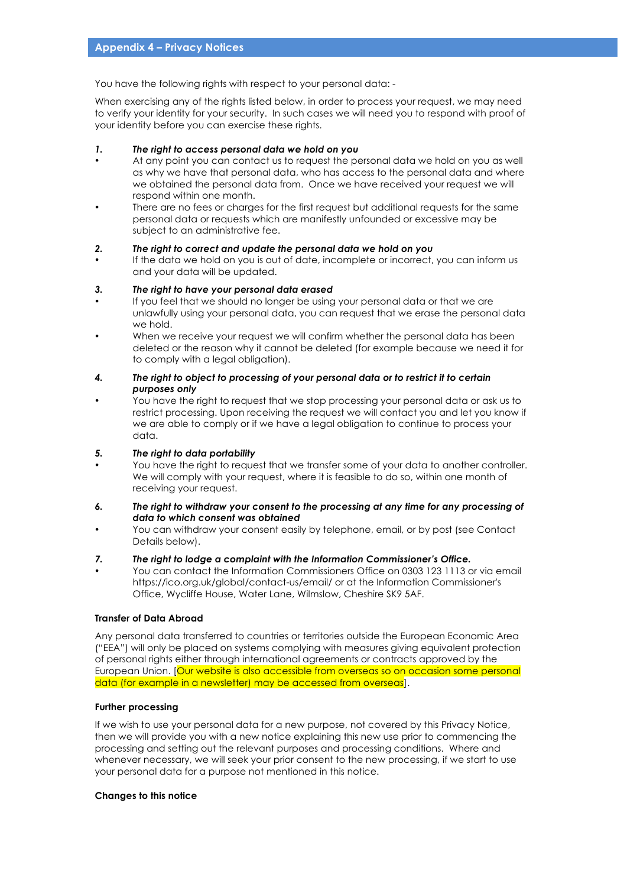You have the following rights with respect to your personal data: -

When exercising any of the rights listed below, in order to process your request, we may need to verify your identity for your security. In such cases we will need you to respond with proof of your identity before you can exercise these rights.

### *1. The right to access personal data we hold on you*

- At any point you can contact us to request the personal data we hold on you as well as why we have that personal data, who has access to the personal data and where we obtained the personal data from. Once we have received your request we will respond within one month.
- There are no fees or charges for the first request but additional requests for the same personal data or requests which are manifestly unfounded or excessive may be subject to an administrative fee.

### *2. The right to correct and update the personal data we hold on you*

If the data we hold on you is out of date, incomplete or incorrect, you can inform us and your data will be updated.

### *3. The right to have your personal data erased*

- If you feel that we should no longer be using your personal data or that we are unlawfully using your personal data, you can request that we erase the personal data we hold.
- When we receive your request we will confirm whether the personal data has been deleted or the reason why it cannot be deleted (for example because we need it for to comply with a legal obligation).

## *4. The right to object to processing of your personal data or to restrict it to certain purposes only*

• You have the right to request that we stop processing your personal data or ask us to restrict processing. Upon receiving the request we will contact you and let you know if we are able to comply or if we have a legal obligation to continue to process your data.

## *5. The right to data portability*

- You have the right to request that we transfer some of your data to another controller. We will comply with your request, where it is feasible to do so, within one month of receiving your request.
- *6. The right to withdraw your consent to the processing at any time for any processing of data to which consent was obtained*
- You can withdraw your consent easily by telephone, email, or by post (see Contact Details below).

## *7. The right to lodge a complaint with the Information Commissioner's Office.*

• You can contact the Information Commissioners Office on 0303 123 1113 or via email https://ico.org.uk/global/contact-us/email/ or at the Information Commissioner's Office, Wycliffe House, Water Lane, Wilmslow, Cheshire SK9 5AF.

## **Transfer of Data Abroad**

Any personal data transferred to countries or territories outside the European Economic Area ("EEA") will only be placed on systems complying with measures giving equivalent protection of personal rights either through international agreements or contracts approved by the European Union. [Our website is also accessible from overseas so on occasion some personal data (for example in a newsletter) may be accessed from overseas].

#### **Further processing**

If we wish to use your personal data for a new purpose, not covered by this Privacy Notice, then we will provide you with a new notice explaining this new use prior to commencing the processing and setting out the relevant purposes and processing conditions. Where and whenever necessary, we will seek your prior consent to the new processing, if we start to use your personal data for a purpose not mentioned in this notice.

#### **Changes to this notice**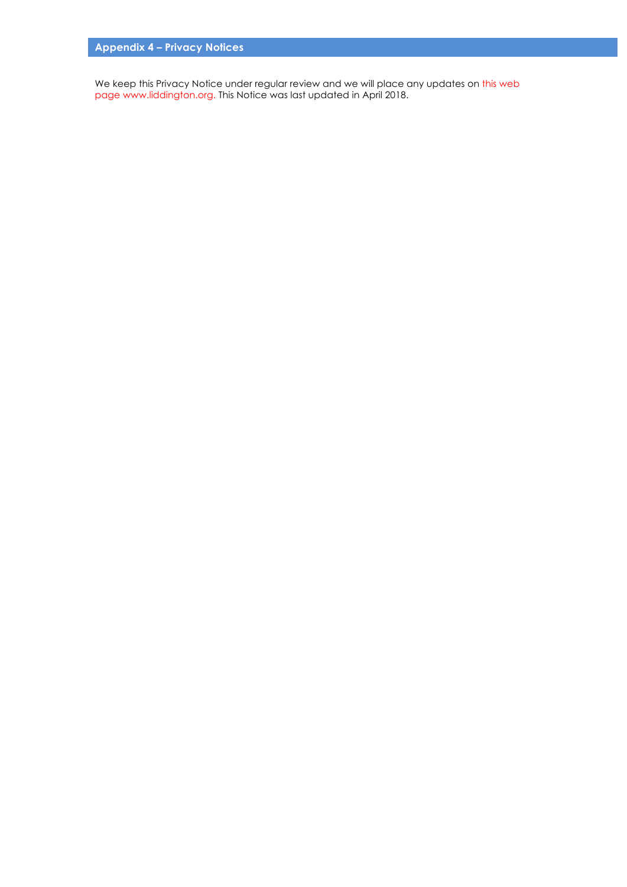We keep this Privacy Notice under regular review and we will place any updates on this web page www.liddington.org. This Notice was last updated in April 2018.